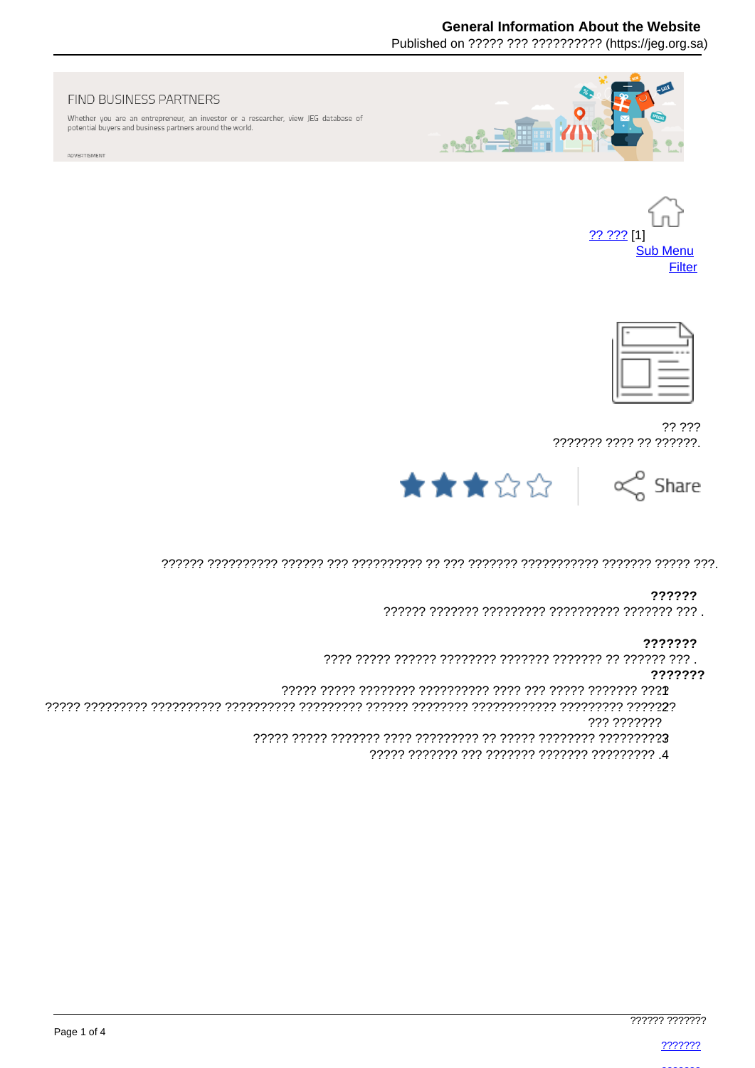# **General Information About the Website**

Published on ????? ??? ?????????? (https://ieg.org.sa)



#### FIND BUSINESS PARTNERS

Whether you are an entrepreneur, an investor or a researcher, view JEG database of potential buyers and business partners around the world.

ADVERTISMENT





?? ??? ??????? ???? ?? ??????.



### ??????

#### ???????

#### ???????

??? ???????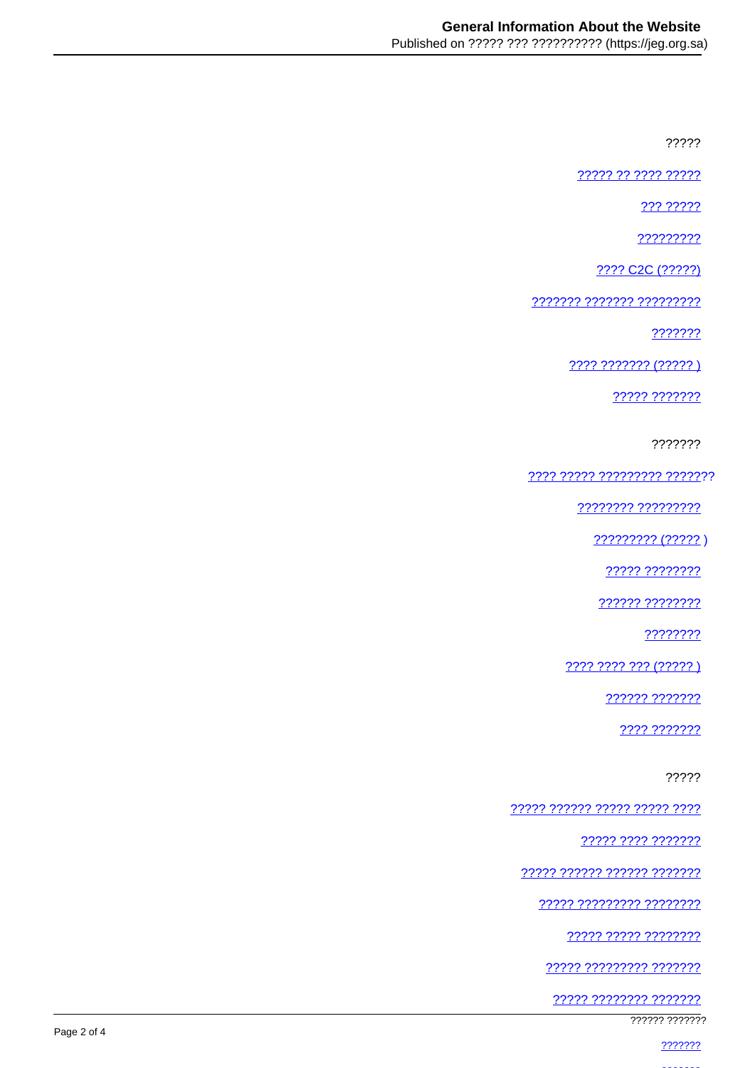?????

????? ?? ???? ?????

222 22222

?????????

???? C2C (?????)

??????? ??????? ?????????

???????

2222 2222222 (22222)

22222 2222222

???????

<u> ???? ????? ????????? ???????</u>

???????? ?????????

????????? (????? )

????? ????????

222222 22222222

????????

???? ???? ??? (????? )

?????? ???????

???? ???????

?????

22222 222222 22222 22222 2222

????? ???? ???????

????? ?????? ?????? ???????

77777 777777777 77777777

22222 22222 22222222

????? ????????? ???????

<u> ????? ???????? ???????</u>

777777 7777777

2222222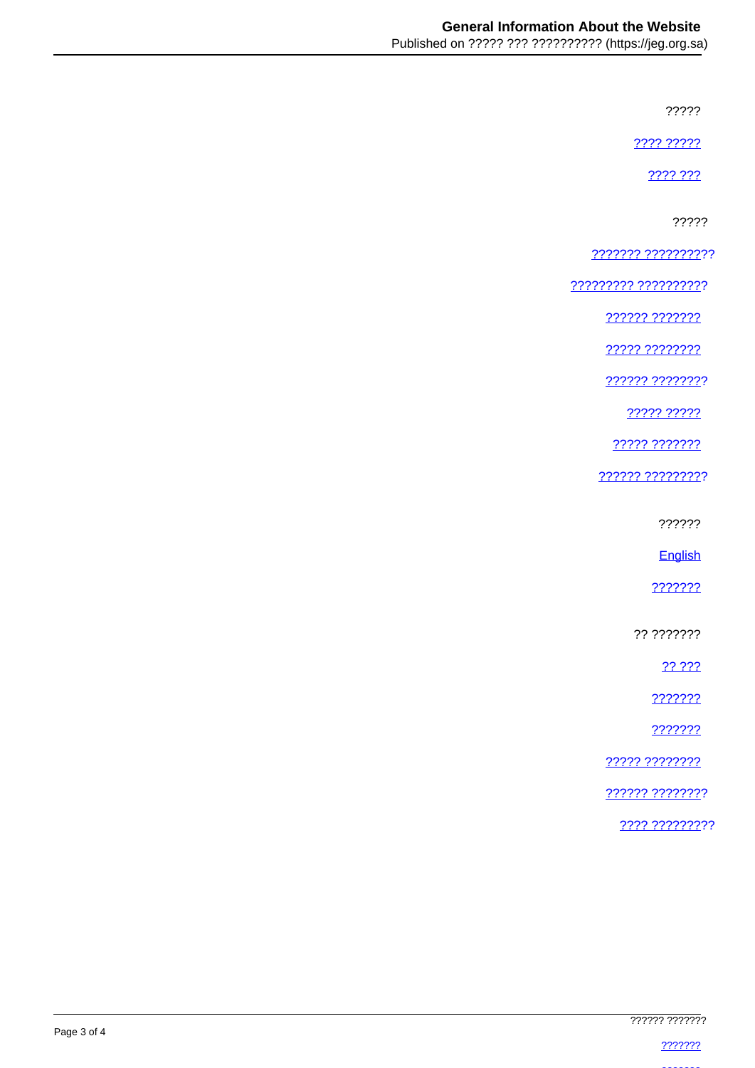?????

???? ?????

???? ???

?????

??????? ??????????

<u> ????????? ???????????</u>

222222 2222222

77777 77777777

?????? ????????

????? ?????

22222 2222222

?????? ?????????

??????

English

???????

?? ???????

22.222

???????

???????

????? ????????

222222 22222222

???? ?????????

Page 3 of 4